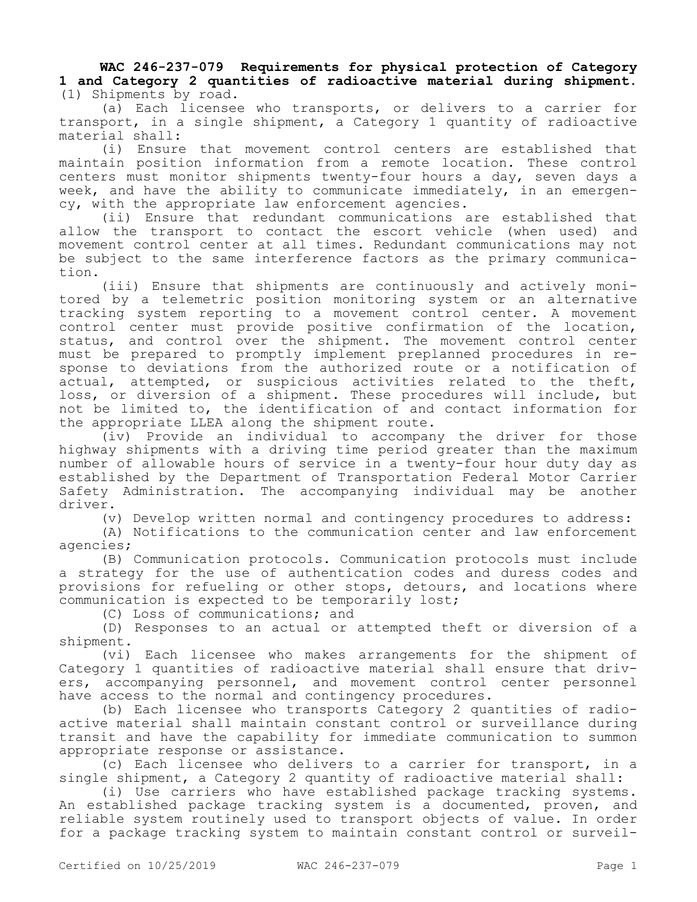**WAC 246-237-079 Requirements for physical protection of Category 1 and Category 2 quantities of radioactive material during shipment.**  (1) Shipments by road.

(a) Each licensee who transports, or delivers to a carrier for transport, in a single shipment, a Category 1 quantity of radioactive material shall:

(i) Ensure that movement control centers are established that maintain position information from a remote location. These control centers must monitor shipments twenty-four hours a day, seven days a week, and have the ability to communicate immediately, in an emergency, with the appropriate law enforcement agencies.

(ii) Ensure that redundant communications are established that allow the transport to contact the escort vehicle (when used) and movement control center at all times. Redundant communications may not be subject to the same interference factors as the primary communication.

(iii) Ensure that shipments are continuously and actively monitored by a telemetric position monitoring system or an alternative tracking system reporting to a movement control center. A movement control center must provide positive confirmation of the location, status, and control over the shipment. The movement control center must be prepared to promptly implement preplanned procedures in response to deviations from the authorized route or a notification of actual, attempted, or suspicious activities related to the theft, loss, or diversion of a shipment. These procedures will include, but not be limited to, the identification of and contact information for the appropriate LLEA along the shipment route.

(iv) Provide an individual to accompany the driver for those highway shipments with a driving time period greater than the maximum number of allowable hours of service in a twenty-four hour duty day as established by the Department of Transportation Federal Motor Carrier Safety Administration. The accompanying individual may be another driver.

(v) Develop written normal and contingency procedures to address:

(A) Notifications to the communication center and law enforcement agencies;

(B) Communication protocols. Communication protocols must include a strategy for the use of authentication codes and duress codes and provisions for refueling or other stops, detours, and locations where communication is expected to be temporarily lost;

(C) Loss of communications; and

(D) Responses to an actual or attempted theft or diversion of a shipment.

(vi) Each licensee who makes arrangements for the shipment of Category 1 quantities of radioactive material shall ensure that drivers, accompanying personnel, and movement control center personnel have access to the normal and contingency procedures.

(b) Each licensee who transports Category 2 quantities of radioactive material shall maintain constant control or surveillance during transit and have the capability for immediate communication to summon appropriate response or assistance.

(c) Each licensee who delivers to a carrier for transport, in a single shipment, a Category 2 quantity of radioactive material shall:

(i) Use carriers who have established package tracking systems. An established package tracking system is a documented, proven, and reliable system routinely used to transport objects of value. In order for a package tracking system to maintain constant control or surveil